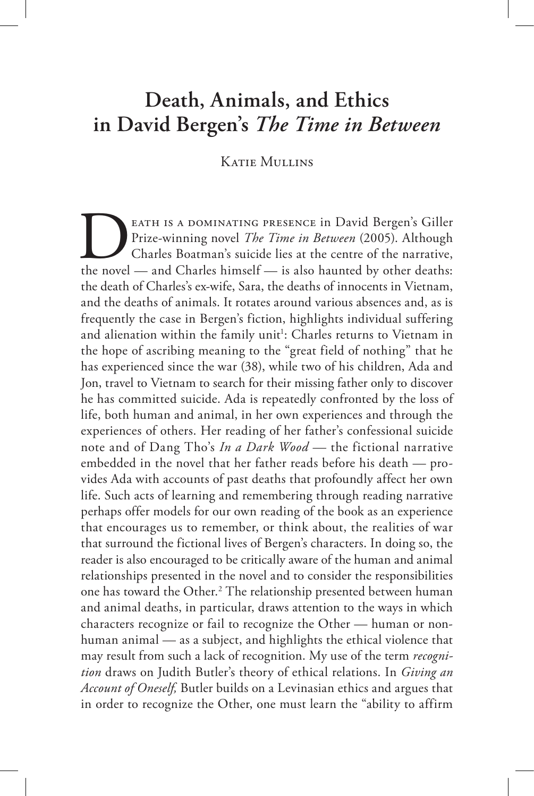# **Death, Animals, and Ethics in David Bergen's** *The Time in Between*

## Katie Mullins

EATH IS A DOMINATING PRESENCE in David Bergen's Giller<br>Prize-winning novel *The Time in Between* (2005). Although<br>Charles Boatman's suicide lies at the centre of the narrative,<br>the novel — and Charles himself — is also hau eath is a dominating presence in David Bergen's Giller Prize-winning novel *The Time in Between* (2005). Although Charles Boatman's suicide lies at the centre of the narrative, the death of Charles's ex-wife, Sara, the deaths of innocents in Vietnam, and the deaths of animals. It rotates around various absences and, as is frequently the case in Bergen's fiction, highlights individual suffering and alienation within the family unit<sup>1</sup>: Charles returns to Vietnam in the hope of ascribing meaning to the "great field of nothing" that he has experienced since the war (38), while two of his children, Ada and Jon, travel to Vietnam to search for their missing father only to discover he has committed suicide. Ada is repeatedly confronted by the loss of life, both human and animal, in her own experiences and through the experiences of others. Her reading of her father's confessional suicide note and of Dang Tho's *In a Dark Wood —* the fictional narrative embedded in the novel that her father reads before his death — provides Ada with accounts of past deaths that profoundly affect her own life. Such acts of learning and remembering through reading narrative perhaps offer models for our own reading of the book as an experience that encourages us to remember, or think about, the realities of war that surround the fictional lives of Bergen's characters. In doing so, the reader is also encouraged to be critically aware of the human and animal relationships presented in the novel and to consider the responsibilities one has toward the Other.2 The relationship presented between human and animal deaths, in particular, draws attention to the ways in which characters recognize or fail to recognize the Other — human or nonhuman animal — as a subject, and highlights the ethical violence that may result from such a lack of recognition. My use of the term *recognition* draws on Judith Butler's theory of ethical relations. In *Giving an Account of Oneself,* Butler builds on a Levinasian ethics and argues that in order to recognize the Other, one must learn the "ability to affirm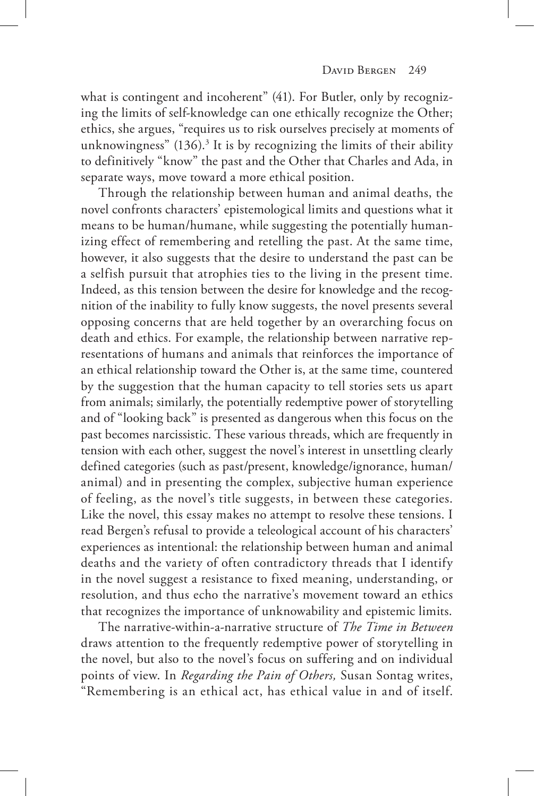what is contingent and incoherent" (41). For Butler, only by recognizing the limits of self-knowledge can one ethically recognize the Other; ethics, she argues, "requires us to risk ourselves precisely at moments of unknowingness" (136).<sup>3</sup> It is by recognizing the limits of their ability to definitively "know" the past and the Other that Charles and Ada, in separate ways, move toward a more ethical position.

Through the relationship between human and animal deaths, the novel confronts characters' epistemological limits and questions what it means to be human/humane, while suggesting the potentially humanizing effect of remembering and retelling the past. At the same time, however, it also suggests that the desire to understand the past can be a selfish pursuit that atrophies ties to the living in the present time. Indeed, as this tension between the desire for knowledge and the recognition of the inability to fully know suggests, the novel presents several opposing concerns that are held together by an overarching focus on death and ethics. For example, the relationship between narrative representations of humans and animals that reinforces the importance of an ethical relationship toward the Other is, at the same time, countered by the suggestion that the human capacity to tell stories sets us apart from animals; similarly, the potentially redemptive power of storytelling and of "looking back" is presented as dangerous when this focus on the past becomes narcissistic. These various threads, which are frequently in tension with each other, suggest the novel's interest in unsettling clearly defined categories (such as past/present, knowledge/ignorance, human/ animal) and in presenting the complex, subjective human experience of feeling, as the novel's title suggests, in between these categories. Like the novel, this essay makes no attempt to resolve these tensions. I read Bergen's refusal to provide a teleological account of his characters' experiences as intentional: the relationship between human and animal deaths and the variety of often contradictory threads that I identify in the novel suggest a resistance to fixed meaning, understanding, or resolution, and thus echo the narrative's movement toward an ethics that recognizes the importance of unknowability and epistemic limits.

The narrative-within-a-narrative structure of *The Time in Between*  draws attention to the frequently redemptive power of storytelling in the novel, but also to the novel's focus on suffering and on individual points of view. In *Regarding the Pain of Others,* Susan Sontag writes, "Remembering is an ethical act, has ethical value in and of itself.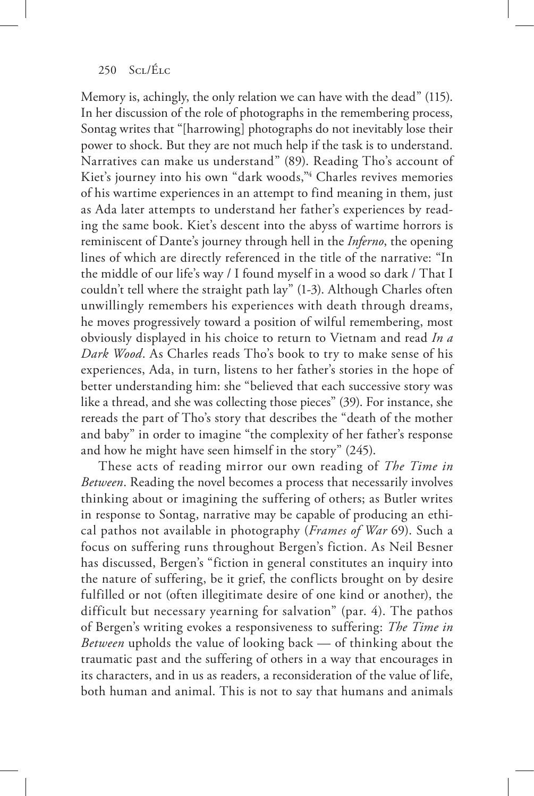Memory is, achingly, the only relation we can have with the dead" (115). In her discussion of the role of photographs in the remembering process, Sontag writes that "[harrowing] photographs do not inevitably lose their power to shock. But they are not much help if the task is to understand. Narratives can make us understand" (89). Reading Tho's account of Kiet's journey into his own "dark woods,"4 Charles revives memories of his wartime experiences in an attempt to find meaning in them, just as Ada later attempts to understand her father's experiences by reading the same book. Kiet's descent into the abyss of wartime horrors is reminiscent of Dante's journey through hell in the *Inferno*, the opening lines of which are directly referenced in the title of the narrative: "In the middle of our life's way / I found myself in a wood so dark / That I couldn't tell where the straight path lay" (1-3). Although Charles often unwillingly remembers his experiences with death through dreams, he moves progressively toward a position of wilful remembering, most obviously displayed in his choice to return to Vietnam and read *In a Dark Wood*. As Charles reads Tho's book to try to make sense of his experiences, Ada, in turn, listens to her father's stories in the hope of better understanding him: she "believed that each successive story was like a thread, and she was collecting those pieces" (39). For instance, she rereads the part of Tho's story that describes the "death of the mother and baby" in order to imagine "the complexity of her father's response and how he might have seen himself in the story" (245).

These acts of reading mirror our own reading of *The Time in Between*. Reading the novel becomes a process that necessarily involves thinking about or imagining the suffering of others; as Butler writes in response to Sontag, narrative may be capable of producing an ethical pathos not available in photography (*Frames of War* 69). Such a focus on suffering runs throughout Bergen's fiction. As Neil Besner has discussed, Bergen's "fiction in general constitutes an inquiry into the nature of suffering, be it grief, the conflicts brought on by desire fulfilled or not (often illegitimate desire of one kind or another), the difficult but necessary yearning for salvation" (par. 4). The pathos of Bergen's writing evokes a responsiveness to suffering: *The Time in Between* upholds the value of looking back — of thinking about the traumatic past and the suffering of others in a way that encourages in its characters, and in us as readers, a reconsideration of the value of life, both human and animal. This is not to say that humans and animals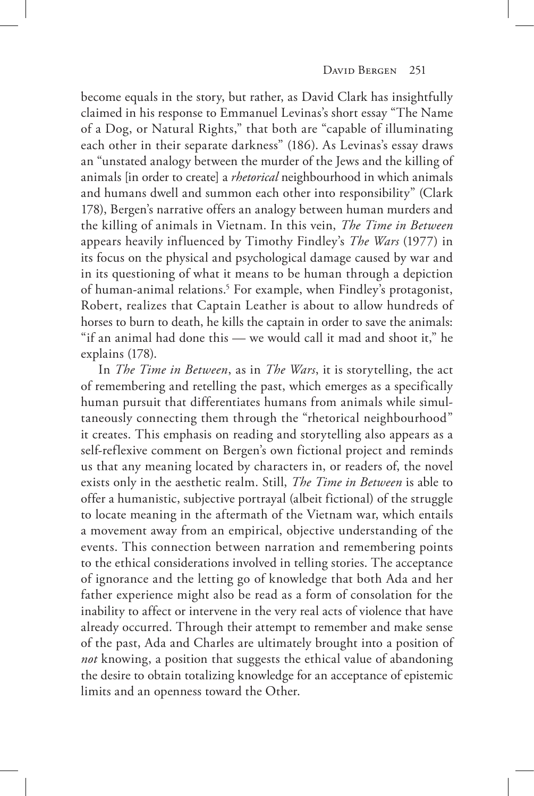become equals in the story, but rather, as David Clark has insightfully claimed in his response to Emmanuel Levinas's short essay "The Name of a Dog, or Natural Rights," that both are "capable of illuminating each other in their separate darkness" (186). As Levinas's essay draws an "unstated analogy between the murder of the Jews and the killing of animals [in order to create] a *rhetorical* neighbourhood in which animals and humans dwell and summon each other into responsibility" (Clark 178), Bergen's narrative offers an analogy between human murders and the killing of animals in Vietnam. In this vein, *The Time in Between*  appears heavily influenced by Timothy Findley's *The Wars* (1977) in its focus on the physical and psychological damage caused by war and in its questioning of what it means to be human through a depiction of human-animal relations.<sup>5</sup> For example, when Findley's protagonist, Robert, realizes that Captain Leather is about to allow hundreds of horses to burn to death, he kills the captain in order to save the animals: "if an animal had done this — we would call it mad and shoot it," he explains (178).

In *The Time in Between*, as in *The Wars*, it is storytelling, the act of remembering and retelling the past, which emerges as a specifically human pursuit that differentiates humans from animals while simultaneously connecting them through the "rhetorical neighbourhood" it creates. This emphasis on reading and storytelling also appears as a self-reflexive comment on Bergen's own fictional project and reminds us that any meaning located by characters in, or readers of, the novel exists only in the aesthetic realm. Still, *The Time in Between* is able to offer a humanistic, subjective portrayal (albeit fictional) of the struggle to locate meaning in the aftermath of the Vietnam war, which entails a movement away from an empirical, objective understanding of the events. This connection between narration and remembering points to the ethical considerations involved in telling stories. The acceptance of ignorance and the letting go of knowledge that both Ada and her father experience might also be read as a form of consolation for the inability to affect or intervene in the very real acts of violence that have already occurred. Through their attempt to remember and make sense of the past, Ada and Charles are ultimately brought into a position of *not* knowing, a position that suggests the ethical value of abandoning the desire to obtain totalizing knowledge for an acceptance of epistemic limits and an openness toward the Other.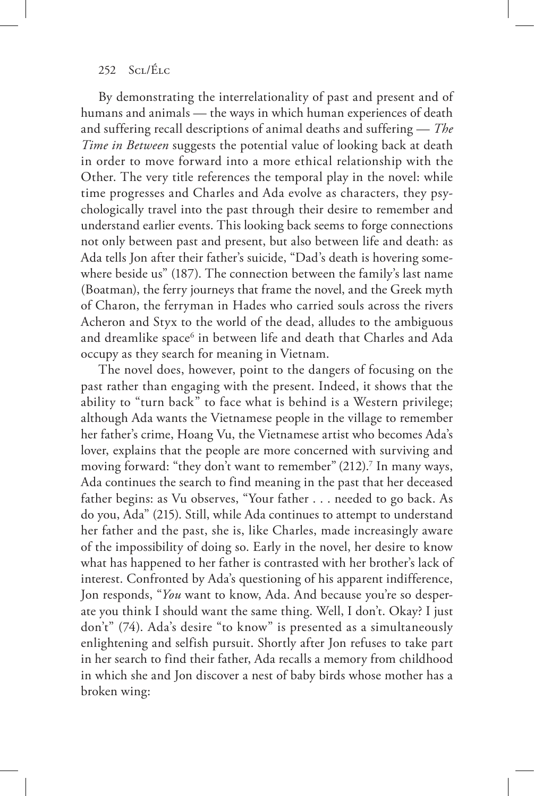By demonstrating the interrelationality of past and present and of humans and animals — the ways in which human experiences of death and suffering recall descriptions of animal deaths and suffering — *The Time in Between* suggests the potential value of looking back at death in order to move forward into a more ethical relationship with the Other. The very title references the temporal play in the novel: while time progresses and Charles and Ada evolve as characters, they psychologically travel into the past through their desire to remember and understand earlier events. This looking back seems to forge connections not only between past and present, but also between life and death: as Ada tells Jon after their father's suicide, "Dad's death is hovering somewhere beside us" (187). The connection between the family's last name (Boatman), the ferry journeys that frame the novel, and the Greek myth of Charon, the ferryman in Hades who carried souls across the rivers Acheron and Styx to the world of the dead, alludes to the ambiguous and dreamlike space $^6$  in between life and death that Charles and Ada occupy as they search for meaning in Vietnam.

The novel does, however, point to the dangers of focusing on the past rather than engaging with the present. Indeed, it shows that the ability to "turn back" to face what is behind is a Western privilege; although Ada wants the Vietnamese people in the village to remember her father's crime, Hoang Vu, the Vietnamese artist who becomes Ada's lover, explains that the people are more concerned with surviving and moving forward: "they don't want to remember" (212).7 In many ways, Ada continues the search to find meaning in the past that her deceased father begins: as Vu observes, "Your father . . . needed to go back. As do you, Ada" (215). Still, while Ada continues to attempt to understand her father and the past, she is, like Charles, made increasingly aware of the impossibility of doing so. Early in the novel, her desire to know what has happened to her father is contrasted with her brother's lack of interest. Confronted by Ada's questioning of his apparent indifference, Jon responds, "*You* want to know, Ada. And because you're so desperate you think I should want the same thing. Well, I don't. Okay? I just don't" (74). Ada's desire "to know" is presented as a simultaneously enlightening and selfish pursuit. Shortly after Jon refuses to take part in her search to find their father, Ada recalls a memory from childhood in which she and Jon discover a nest of baby birds whose mother has a broken wing: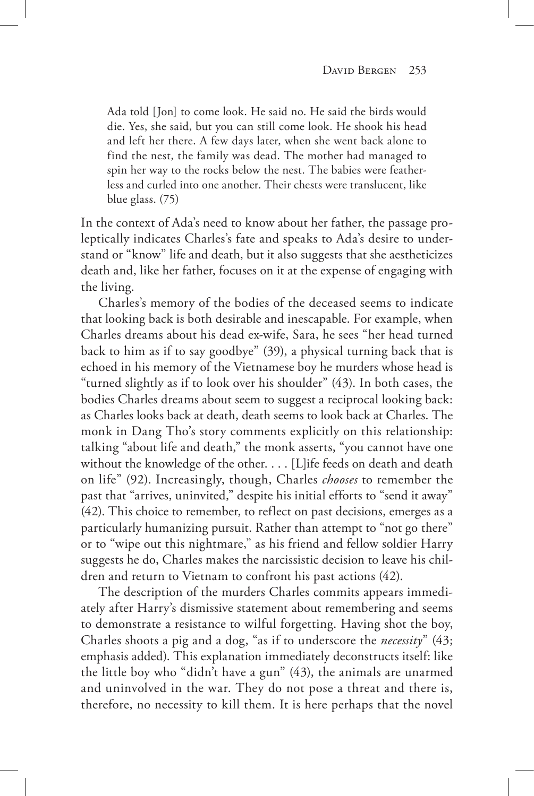Ada told [Jon] to come look. He said no. He said the birds would die. Yes, she said, but you can still come look. He shook his head and left her there. A few days later, when she went back alone to find the nest, the family was dead. The mother had managed to spin her way to the rocks below the nest. The babies were featherless and curled into one another. Their chests were translucent, like blue glass. (75)

In the context of Ada's need to know about her father, the passage proleptically indicates Charles's fate and speaks to Ada's desire to understand or "know" life and death, but it also suggests that she aestheticizes death and, like her father, focuses on it at the expense of engaging with the living.

Charles's memory of the bodies of the deceased seems to indicate that looking back is both desirable and inescapable. For example, when Charles dreams about his dead ex-wife, Sara, he sees "her head turned back to him as if to say goodbye" (39), a physical turning back that is echoed in his memory of the Vietnamese boy he murders whose head is "turned slightly as if to look over his shoulder" (43). In both cases, the bodies Charles dreams about seem to suggest a reciprocal looking back: as Charles looks back at death, death seems to look back at Charles. The monk in Dang Tho's story comments explicitly on this relationship: talking "about life and death," the monk asserts, "you cannot have one without the knowledge of the other. . . . [L]ife feeds on death and death on life" (92). Increasingly, though, Charles *chooses* to remember the past that "arrives, uninvited," despite his initial efforts to "send it away" (42). This choice to remember, to reflect on past decisions, emerges as a particularly humanizing pursuit. Rather than attempt to "not go there" or to "wipe out this nightmare," as his friend and fellow soldier Harry suggests he do, Charles makes the narcissistic decision to leave his children and return to Vietnam to confront his past actions (42).

The description of the murders Charles commits appears immediately after Harry's dismissive statement about remembering and seems to demonstrate a resistance to wilful forgetting. Having shot the boy, Charles shoots a pig and a dog, "as if to underscore the *necessity*" (43; emphasis added). This explanation immediately deconstructs itself: like the little boy who "didn't have a gun" (43), the animals are unarmed and uninvolved in the war. They do not pose a threat and there is, therefore, no necessity to kill them. It is here perhaps that the novel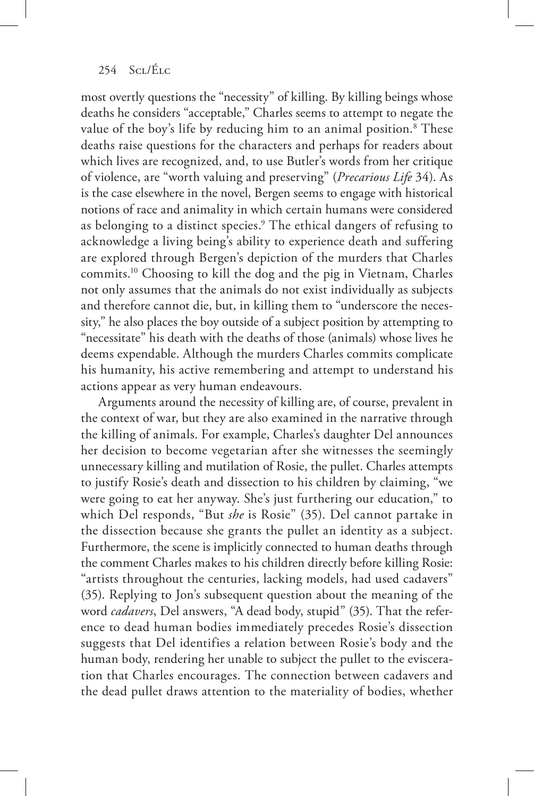most overtly questions the "necessity" of killing. By killing beings whose deaths he considers "acceptable," Charles seems to attempt to negate the value of the boy's life by reducing him to an animal position.<sup>8</sup> These deaths raise questions for the characters and perhaps for readers about which lives are recognized, and, to use Butler's words from her critique of violence, are "worth valuing and preserving" (*Precarious Life* 34). As is the case elsewhere in the novel, Bergen seems to engage with historical notions of race and animality in which certain humans were considered as belonging to a distinct species.9 The ethical dangers of refusing to acknowledge a living being's ability to experience death and suffering are explored through Bergen's depiction of the murders that Charles commits.10 Choosing to kill the dog and the pig in Vietnam, Charles not only assumes that the animals do not exist individually as subjects and therefore cannot die, but, in killing them to "underscore the necessity," he also places the boy outside of a subject position by attempting to "necessitate" his death with the deaths of those (animals) whose lives he deems expendable. Although the murders Charles commits complicate his humanity, his active remembering and attempt to understand his actions appear as very human endeavours.

Arguments around the necessity of killing are, of course, prevalent in the context of war, but they are also examined in the narrative through the killing of animals. For example, Charles's daughter Del announces her decision to become vegetarian after she witnesses the seemingly unnecessary killing and mutilation of Rosie, the pullet. Charles attempts to justify Rosie's death and dissection to his children by claiming, "we were going to eat her anyway. She's just furthering our education," to which Del responds, "But *she* is Rosie" (35). Del cannot partake in the dissection because she grants the pullet an identity as a subject. Furthermore, the scene is implicitly connected to human deaths through the comment Charles makes to his children directly before killing Rosie: "artists throughout the centuries, lacking models, had used cadavers" (35). Replying to Jon's subsequent question about the meaning of the word *cadavers*, Del answers, "A dead body, stupid" (35). That the reference to dead human bodies immediately precedes Rosie's dissection suggests that Del identifies a relation between Rosie's body and the human body, rendering her unable to subject the pullet to the evisceration that Charles encourages. The connection between cadavers and the dead pullet draws attention to the materiality of bodies, whether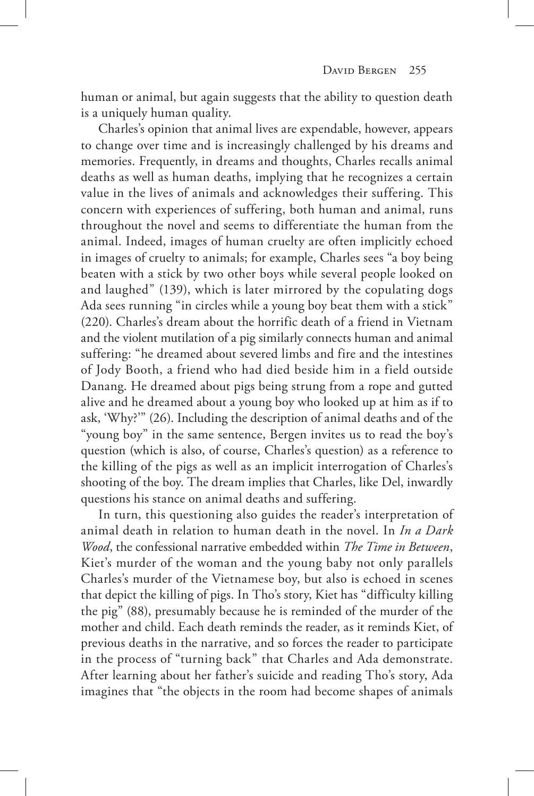human or animal, but again suggests that the ability to question death is a uniquely human quality.

Charles's opinion that animal lives are expendable, however, appears to change over time and is increasingly challenged by his dreams and memories. Frequently, in dreams and thoughts, Charles recalls animal deaths as well as human deaths, implying that he recognizes a certain value in the lives of animals and acknowledges their suffering. This concern with experiences of suffering, both human and animal, runs throughout the novel and seems to differentiate the human from the animal. Indeed, images of human cruelty are often implicitly echoed in images of cruelty to animals; for example, Charles sees "a boy being beaten with a stick by two other boys while several people looked on and laughed" (139), which is later mirrored by the copulating dogs Ada sees running "in circles while a young boy beat them with a stick" (220). Charles's dream about the horrific death of a friend in Vietnam and the violent mutilation of a pig similarly connects human and animal suffering: "he dreamed about severed limbs and fire and the intestines of Jody Booth, a friend who had died beside him in a field outside Danang. He dreamed about pigs being strung from a rope and gutted alive and he dreamed about a young boy who looked up at him as if to ask, 'Why?'" (26). Including the description of animal deaths and of the "young boy" in the same sentence, Bergen invites us to read the boy's question (which is also, of course, Charles's question) as a reference to the killing of the pigs as well as an implicit interrogation of Charles's shooting of the boy. The dream implies that Charles, like Del, inwardly questions his stance on animal deaths and suffering.

In turn, this questioning also guides the reader's interpretation of animal death in relation to human death in the novel. In *In a Dark Wood*, the confessional narrative embedded within *The Time in Between*, Kiet's murder of the woman and the young baby not only parallels Charles's murder of the Vietnamese boy, but also is echoed in scenes that depict the killing of pigs. In Tho's story, Kiet has "difficulty killing the pig" (88), presumably because he is reminded of the murder of the mother and child. Each death reminds the reader, as it reminds Kiet, of previous deaths in the narrative, and so forces the reader to participate in the process of "turning back" that Charles and Ada demonstrate. After learning about her father's suicide and reading Tho's story, Ada imagines that "the objects in the room had become shapes of animals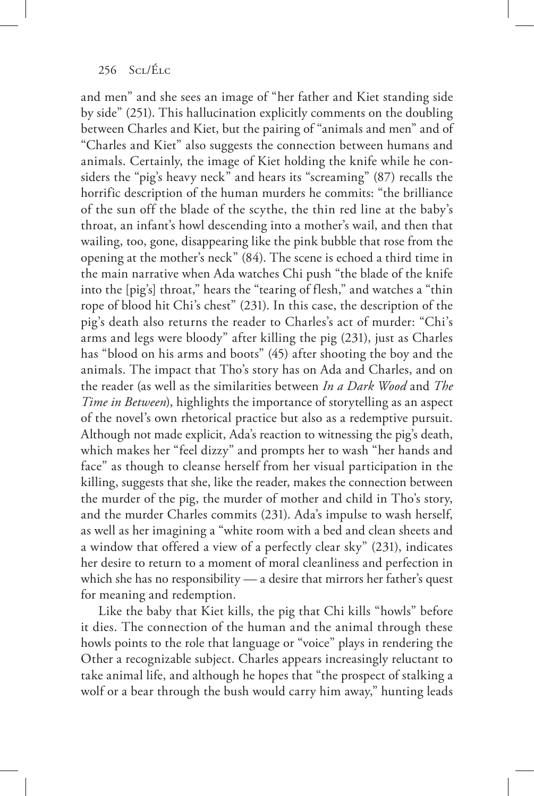and men" and she sees an image of "her father and Kiet standing side by side" (251). This hallucination explicitly comments on the doubling between Charles and Kiet, but the pairing of "animals and men" and of "Charles and Kiet" also suggests the connection between humans and animals. Certainly, the image of Kiet holding the knife while he considers the "pig's heavy neck" and hears its "screaming" (87) recalls the horrific description of the human murders he commits: "the brilliance of the sun off the blade of the scythe, the thin red line at the baby's throat, an infant's howl descending into a mother's wail, and then that wailing, too, gone, disappearing like the pink bubble that rose from the opening at the mother's neck" (84). The scene is echoed a third time in the main narrative when Ada watches Chi push "the blade of the knife into the [pig's] throat," hears the "tearing of flesh," and watches a "thin rope of blood hit Chi's chest" (231). In this case, the description of the pig's death also returns the reader to Charles's act of murder: "Chi's arms and legs were bloody" after killing the pig (231), just as Charles has "blood on his arms and boots" (45) after shooting the boy and the animals. The impact that Tho's story has on Ada and Charles, and on the reader (as well as the similarities between *In a Dark Wood* and *The Time in Between*), highlights the importance of storytelling as an aspect of the novel's own rhetorical practice but also as a redemptive pursuit. Although not made explicit, Ada's reaction to witnessing the pig's death, which makes her "feel dizzy" and prompts her to wash "her hands and face" as though to cleanse herself from her visual participation in the killing, suggests that she, like the reader, makes the connection between the murder of the pig, the murder of mother and child in Tho's story, and the murder Charles commits (231). Ada's impulse to wash herself, as well as her imagining a "white room with a bed and clean sheets and a window that offered a view of a perfectly clear sky" (231), indicates her desire to return to a moment of moral cleanliness and perfection in which she has no responsibility — a desire that mirrors her father's quest for meaning and redemption.

Like the baby that Kiet kills, the pig that Chi kills "howls" before it dies. The connection of the human and the animal through these howls points to the role that language or "voice" plays in rendering the Other a recognizable subject. Charles appears increasingly reluctant to take animal life, and although he hopes that "the prospect of stalking a wolf or a bear through the bush would carry him away," hunting leads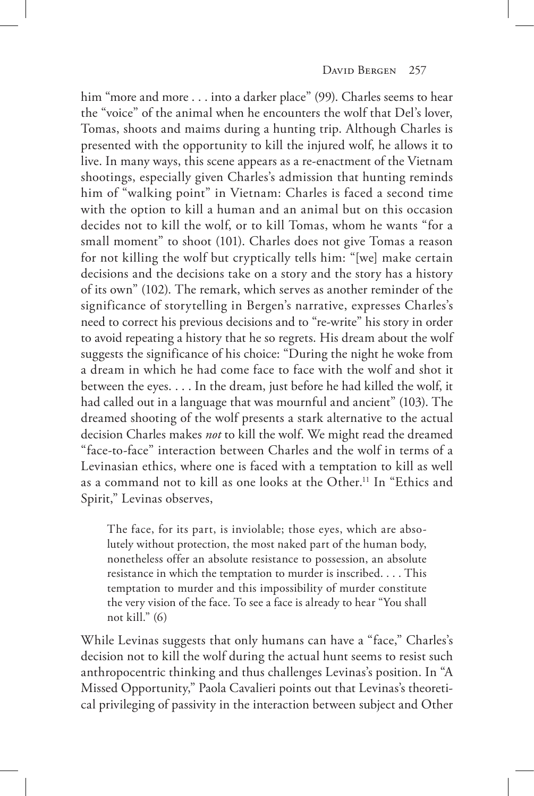him "more and more . . . into a darker place" (99). Charles seems to hear the "voice" of the animal when he encounters the wolf that Del's lover, Tomas, shoots and maims during a hunting trip. Although Charles is presented with the opportunity to kill the injured wolf, he allows it to live. In many ways, this scene appears as a re-enactment of the Vietnam shootings, especially given Charles's admission that hunting reminds him of "walking point" in Vietnam: Charles is faced a second time with the option to kill a human and an animal but on this occasion decides not to kill the wolf, or to kill Tomas, whom he wants "for a small moment" to shoot (101). Charles does not give Tomas a reason for not killing the wolf but cryptically tells him: "[we] make certain decisions and the decisions take on a story and the story has a history of its own" (102). The remark, which serves as another reminder of the significance of storytelling in Bergen's narrative, expresses Charles's need to correct his previous decisions and to "re-write" his story in order to avoid repeating a history that he so regrets. His dream about the wolf suggests the significance of his choice: "During the night he woke from a dream in which he had come face to face with the wolf and shot it between the eyes. . . . In the dream, just before he had killed the wolf, it had called out in a language that was mournful and ancient" (103). The dreamed shooting of the wolf presents a stark alternative to the actual decision Charles makes *not* to kill the wolf. We might read the dreamed "face-to-face" interaction between Charles and the wolf in terms of a Levinasian ethics, where one is faced with a temptation to kill as well as a command not to kill as one looks at the Other.11 In "Ethics and Spirit," Levinas observes,

The face, for its part, is inviolable; those eyes, which are absolutely without protection, the most naked part of the human body, nonetheless offer an absolute resistance to possession, an absolute resistance in which the temptation to murder is inscribed. . . . This temptation to murder and this impossibility of murder constitute the very vision of the face. To see a face is already to hear "You shall not kill." (6)

While Levinas suggests that only humans can have a "face," Charles's decision not to kill the wolf during the actual hunt seems to resist such anthropocentric thinking and thus challenges Levinas's position. In "A Missed Opportunity," Paola Cavalieri points out that Levinas's theoretical privileging of passivity in the interaction between subject and Other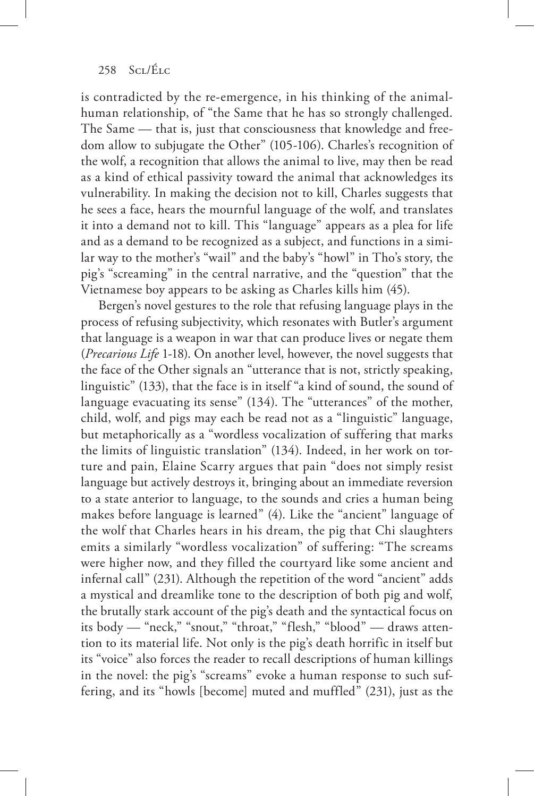is contradicted by the re-emergence, in his thinking of the animalhuman relationship, of "the Same that he has so strongly challenged. The Same — that is, just that consciousness that knowledge and freedom allow to subjugate the Other" (105-106). Charles's recognition of the wolf, a recognition that allows the animal to live, may then be read as a kind of ethical passivity toward the animal that acknowledges its vulnerability. In making the decision not to kill, Charles suggests that he sees a face, hears the mournful language of the wolf, and translates it into a demand not to kill. This "language" appears as a plea for life and as a demand to be recognized as a subject, and functions in a similar way to the mother's "wail" and the baby's "howl" in Tho's story, the pig's "screaming" in the central narrative, and the "question" that the Vietnamese boy appears to be asking as Charles kills him (45).

Bergen's novel gestures to the role that refusing language plays in the process of refusing subjectivity, which resonates with Butler's argument that language is a weapon in war that can produce lives or negate them (*Precarious Life* 1-18). On another level, however, the novel suggests that the face of the Other signals an "utterance that is not, strictly speaking, linguistic" (133), that the face is in itself "a kind of sound, the sound of language evacuating its sense" (134). The "utterances" of the mother, child, wolf, and pigs may each be read not as a "linguistic" language, but metaphorically as a "wordless vocalization of suffering that marks the limits of linguistic translation" (134). Indeed, in her work on torture and pain, Elaine Scarry argues that pain "does not simply resist language but actively destroys it, bringing about an immediate reversion to a state anterior to language, to the sounds and cries a human being makes before language is learned" (4). Like the "ancient" language of the wolf that Charles hears in his dream, the pig that Chi slaughters emits a similarly "wordless vocalization" of suffering: "The screams were higher now, and they filled the courtyard like some ancient and infernal call" (231). Although the repetition of the word "ancient" adds a mystical and dreamlike tone to the description of both pig and wolf, the brutally stark account of the pig's death and the syntactical focus on its body — "neck," "snout," "throat," "flesh," "blood" — draws attention to its material life. Not only is the pig's death horrific in itself but its "voice" also forces the reader to recall descriptions of human killings in the novel: the pig's "screams" evoke a human response to such suffering, and its "howls [become] muted and muffled" (231), just as the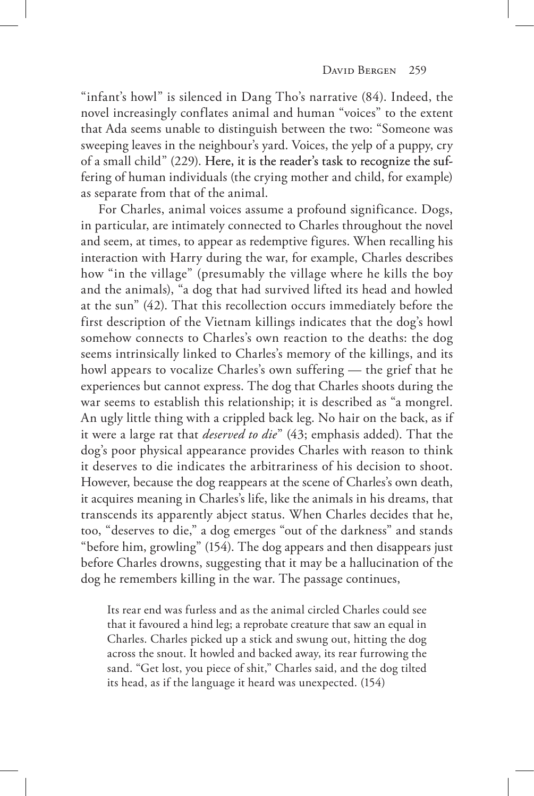"infant's howl" is silenced in Dang Tho's narrative (84). Indeed, the novel increasingly conflates animal and human "voices" to the extent that Ada seems unable to distinguish between the two: "Someone was sweeping leaves in the neighbour's yard. Voices, the yelp of a puppy, cry of a small child" (229). Here, it is the reader's task to recognize the suffering of human individuals (the crying mother and child, for example) as separate from that of the animal.

For Charles, animal voices assume a profound significance. Dogs, in particular, are intimately connected to Charles throughout the novel and seem, at times, to appear as redemptive figures. When recalling his interaction with Harry during the war, for example, Charles describes how "in the village" (presumably the village where he kills the boy and the animals), "a dog that had survived lifted its head and howled at the sun" (42). That this recollection occurs immediately before the first description of the Vietnam killings indicates that the dog's howl somehow connects to Charles's own reaction to the deaths: the dog seems intrinsically linked to Charles's memory of the killings, and its howl appears to vocalize Charles's own suffering — the grief that he experiences but cannot express. The dog that Charles shoots during the war seems to establish this relationship; it is described as "a mongrel. An ugly little thing with a crippled back leg. No hair on the back, as if it were a large rat that *deserved to die*" (43; emphasis added). That the dog's poor physical appearance provides Charles with reason to think it deserves to die indicates the arbitrariness of his decision to shoot. However, because the dog reappears at the scene of Charles's own death, it acquires meaning in Charles's life, like the animals in his dreams, that transcends its apparently abject status. When Charles decides that he, too, "deserves to die," a dog emerges "out of the darkness" and stands "before him, growling" (154). The dog appears and then disappears just before Charles drowns, suggesting that it may be a hallucination of the dog he remembers killing in the war. The passage continues,

Its rear end was furless and as the animal circled Charles could see that it favoured a hind leg; a reprobate creature that saw an equal in Charles. Charles picked up a stick and swung out, hitting the dog across the snout. It howled and backed away, its rear furrowing the sand. "Get lost, you piece of shit," Charles said, and the dog tilted its head, as if the language it heard was unexpected. (154)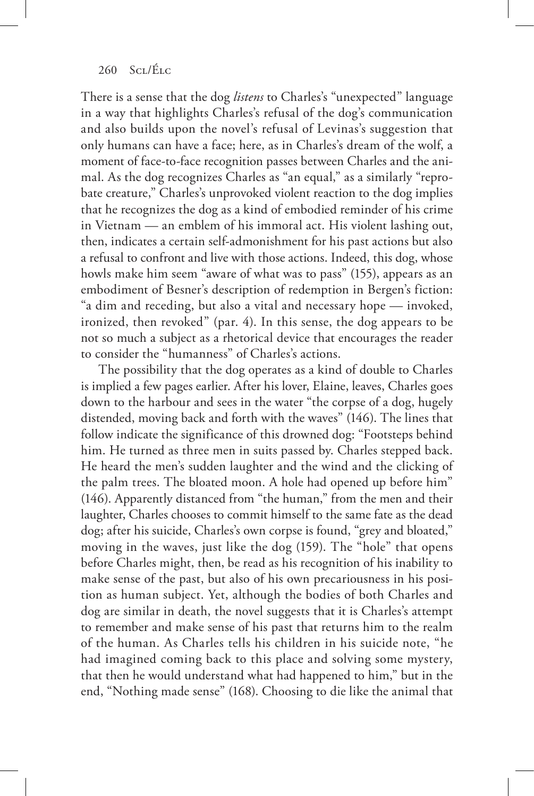There is a sense that the dog *listens* to Charles's "unexpected" language in a way that highlights Charles's refusal of the dog's communication and also builds upon the novel's refusal of Levinas's suggestion that only humans can have a face; here, as in Charles's dream of the wolf, a moment of face-to-face recognition passes between Charles and the animal. As the dog recognizes Charles as "an equal," as a similarly "reprobate creature," Charles's unprovoked violent reaction to the dog implies that he recognizes the dog as a kind of embodied reminder of his crime in Vietnam — an emblem of his immoral act. His violent lashing out, then, indicates a certain self-admonishment for his past actions but also a refusal to confront and live with those actions. Indeed, this dog, whose howls make him seem "aware of what was to pass" (155), appears as an embodiment of Besner's description of redemption in Bergen's fiction: "a dim and receding, but also a vital and necessary hope — invoked, ironized, then revoked" (par. 4). In this sense, the dog appears to be not so much a subject as a rhetorical device that encourages the reader to consider the "humanness" of Charles's actions.

The possibility that the dog operates as a kind of double to Charles is implied a few pages earlier. After his lover, Elaine, leaves, Charles goes down to the harbour and sees in the water "the corpse of a dog, hugely distended, moving back and forth with the waves" (146). The lines that follow indicate the significance of this drowned dog: "Footsteps behind him. He turned as three men in suits passed by. Charles stepped back. He heard the men's sudden laughter and the wind and the clicking of the palm trees. The bloated moon. A hole had opened up before him" (146). Apparently distanced from "the human," from the men and their laughter, Charles chooses to commit himself to the same fate as the dead dog; after his suicide, Charles's own corpse is found, "grey and bloated," moving in the waves, just like the dog (159). The "hole" that opens before Charles might, then, be read as his recognition of his inability to make sense of the past, but also of his own precariousness in his position as human subject. Yet, although the bodies of both Charles and dog are similar in death, the novel suggests that it is Charles's attempt to remember and make sense of his past that returns him to the realm of the human. As Charles tells his children in his suicide note, "he had imagined coming back to this place and solving some mystery, that then he would understand what had happened to him," but in the end, "Nothing made sense" (168). Choosing to die like the animal that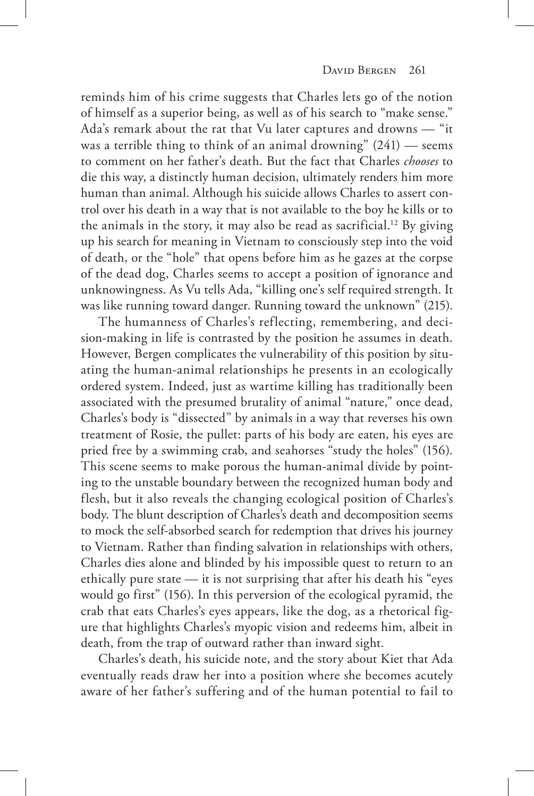reminds him of his crime suggests that Charles lets go of the notion of himself as a superior being, as well as of his search to "make sense." Ada's remark about the rat that Vu later captures and drowns — "it was a terrible thing to think of an animal drowning" (241) — seems to comment on her father's death. But the fact that Charles *chooses* to die this way, a distinctly human decision, ultimately renders him more human than animal. Although his suicide allows Charles to assert control over his death in a way that is not available to the boy he kills or to the animals in the story, it may also be read as sacrificial.12 By giving up his search for meaning in Vietnam to consciously step into the void of death, or the "hole" that opens before him as he gazes at the corpse of the dead dog, Charles seems to accept a position of ignorance and unknowingness. As Vu tells Ada, "killing one's self required strength. It was like running toward danger. Running toward the unknown" (215).

The humanness of Charles's reflecting, remembering, and decision-making in life is contrasted by the position he assumes in death. However, Bergen complicates the vulnerability of this position by situating the human-animal relationships he presents in an ecologically ordered system. Indeed, just as wartime killing has traditionally been associated with the presumed brutality of animal "nature," once dead, Charles's body is "dissected" by animals in a way that reverses his own treatment of Rosie, the pullet: parts of his body are eaten, his eyes are pried free by a swimming crab, and seahorses "study the holes" (156). This scene seems to make porous the human-animal divide by pointing to the unstable boundary between the recognized human body and flesh, but it also reveals the changing ecological position of Charles's body. The blunt description of Charles's death and decomposition seems to mock the self-absorbed search for redemption that drives his journey to Vietnam. Rather than finding salvation in relationships with others, Charles dies alone and blinded by his impossible quest to return to an ethically pure state — it is not surprising that after his death his "eyes would go first" (156). In this perversion of the ecological pyramid, the crab that eats Charles's eyes appears, like the dog, as a rhetorical figure that highlights Charles's myopic vision and redeems him, albeit in death, from the trap of outward rather than inward sight.

Charles's death, his suicide note, and the story about Kiet that Ada eventually reads draw her into a position where she becomes acutely aware of her father's suffering and of the human potential to fail to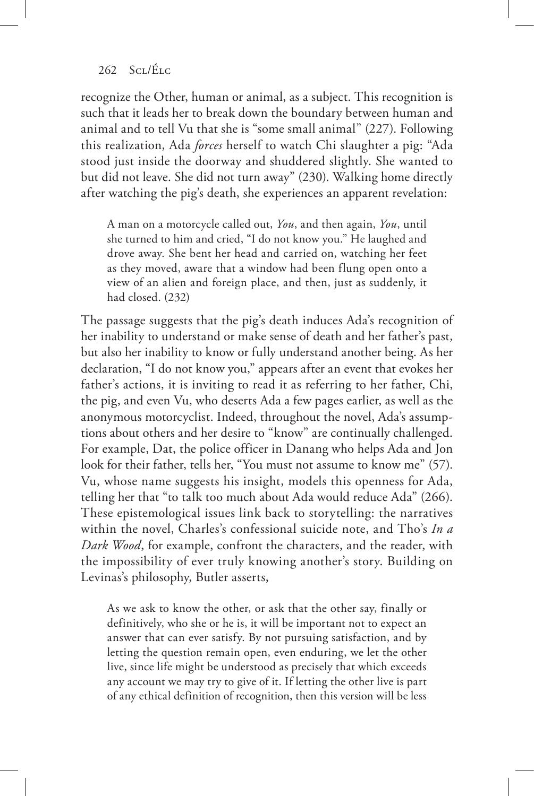recognize the Other, human or animal, as a subject. This recognition is such that it leads her to break down the boundary between human and animal and to tell Vu that she is "some small animal" (227). Following this realization, Ada *forces* herself to watch Chi slaughter a pig: "Ada stood just inside the doorway and shuddered slightly. She wanted to but did not leave. She did not turn away" (230). Walking home directly after watching the pig's death, she experiences an apparent revelation:

A man on a motorcycle called out, *You*, and then again, *You*, until she turned to him and cried, "I do not know you." He laughed and drove away. She bent her head and carried on, watching her feet as they moved, aware that a window had been flung open onto a view of an alien and foreign place, and then, just as suddenly, it had closed. (232)

The passage suggests that the pig's death induces Ada's recognition of her inability to understand or make sense of death and her father's past, but also her inability to know or fully understand another being. As her declaration, "I do not know you," appears after an event that evokes her father's actions, it is inviting to read it as referring to her father, Chi, the pig, and even Vu, who deserts Ada a few pages earlier, as well as the anonymous motorcyclist. Indeed, throughout the novel, Ada's assumptions about others and her desire to "know" are continually challenged. For example, Dat, the police officer in Danang who helps Ada and Jon look for their father, tells her, "You must not assume to know me" (57). Vu, whose name suggests his insight, models this openness for Ada, telling her that "to talk too much about Ada would reduce Ada" (266). These epistemological issues link back to storytelling: the narratives within the novel, Charles's confessional suicide note, and Tho's *In a Dark Wood*, for example, confront the characters, and the reader, with the impossibility of ever truly knowing another's story. Building on Levinas's philosophy, Butler asserts,

As we ask to know the other, or ask that the other say, finally or definitively, who she or he is, it will be important not to expect an answer that can ever satisfy. By not pursuing satisfaction, and by letting the question remain open, even enduring, we let the other live, since life might be understood as precisely that which exceeds any account we may try to give of it. If letting the other live is part of any ethical definition of recognition, then this version will be less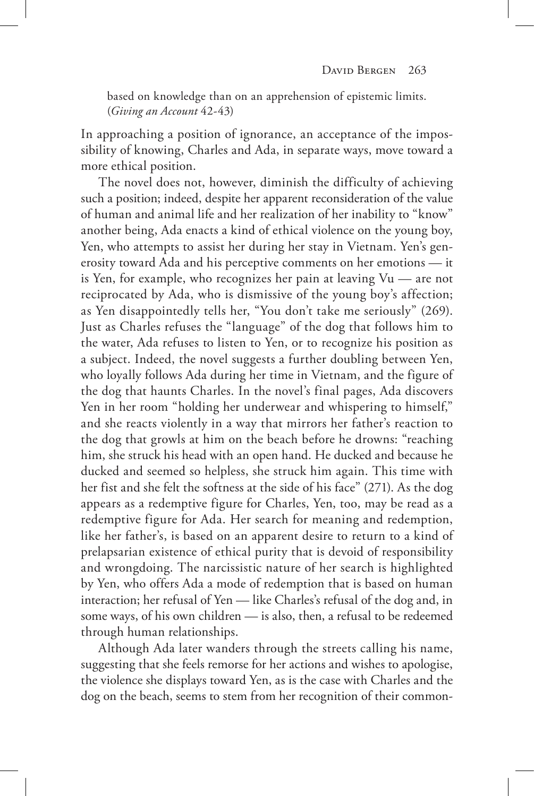based on knowledge than on an apprehension of epistemic limits. (*Giving an Account* 42-43)

In approaching a position of ignorance, an acceptance of the impossibility of knowing, Charles and Ada, in separate ways, move toward a more ethical position.

The novel does not, however, diminish the difficulty of achieving such a position; indeed, despite her apparent reconsideration of the value of human and animal life and her realization of her inability to "know" another being, Ada enacts a kind of ethical violence on the young boy, Yen, who attempts to assist her during her stay in Vietnam. Yen's generosity toward Ada and his perceptive comments on her emotions — it is Yen, for example, who recognizes her pain at leaving Vu — are not reciprocated by Ada, who is dismissive of the young boy's affection; as Yen disappointedly tells her, "You don't take me seriously" (269). Just as Charles refuses the "language" of the dog that follows him to the water, Ada refuses to listen to Yen, or to recognize his position as a subject. Indeed, the novel suggests a further doubling between Yen, who loyally follows Ada during her time in Vietnam, and the figure of the dog that haunts Charles. In the novel's final pages, Ada discovers Yen in her room "holding her underwear and whispering to himself," and she reacts violently in a way that mirrors her father's reaction to the dog that growls at him on the beach before he drowns: "reaching him, she struck his head with an open hand. He ducked and because he ducked and seemed so helpless, she struck him again. This time with her fist and she felt the softness at the side of his face" (271). As the dog appears as a redemptive figure for Charles, Yen, too, may be read as a redemptive figure for Ada. Her search for meaning and redemption, like her father's, is based on an apparent desire to return to a kind of prelapsarian existence of ethical purity that is devoid of responsibility and wrongdoing. The narcissistic nature of her search is highlighted by Yen, who offers Ada a mode of redemption that is based on human interaction; her refusal of Yen — like Charles's refusal of the dog and, in some ways, of his own children — is also, then, a refusal to be redeemed through human relationships.

Although Ada later wanders through the streets calling his name, suggesting that she feels remorse for her actions and wishes to apologise, the violence she displays toward Yen, as is the case with Charles and the dog on the beach, seems to stem from her recognition of their common-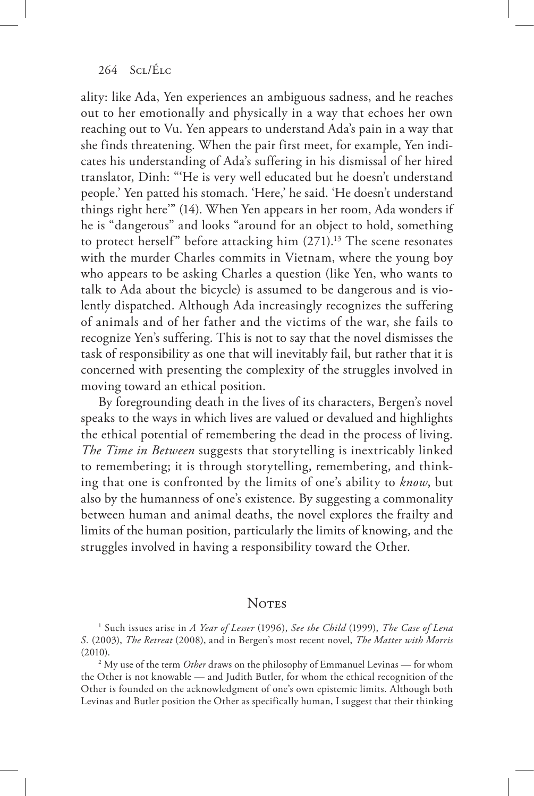ality: like Ada, Yen experiences an ambiguous sadness, and he reaches out to her emotionally and physically in a way that echoes her own reaching out to Vu. Yen appears to understand Ada's pain in a way that she finds threatening. When the pair first meet, for example, Yen indicates his understanding of Ada's suffering in his dismissal of her hired translator, Dinh: "'He is very well educated but he doesn't understand people.' Yen patted his stomach. 'Here,' he said. 'He doesn't understand things right here'" (14). When Yen appears in her room, Ada wonders if he is "dangerous" and looks "around for an object to hold, something to protect herself" before attacking him  $(271).<sup>13</sup>$  The scene resonates with the murder Charles commits in Vietnam, where the young boy who appears to be asking Charles a question (like Yen, who wants to talk to Ada about the bicycle) is assumed to be dangerous and is violently dispatched. Although Ada increasingly recognizes the suffering of animals and of her father and the victims of the war, she fails to recognize Yen's suffering. This is not to say that the novel dismisses the task of responsibility as one that will inevitably fail, but rather that it is concerned with presenting the complexity of the struggles involved in moving toward an ethical position.

By foregrounding death in the lives of its characters, Bergen's novel speaks to the ways in which lives are valued or devalued and highlights the ethical potential of remembering the dead in the process of living. *The Time in Between* suggests that storytelling is inextricably linked to remembering; it is through storytelling, remembering, and thinking that one is confronted by the limits of one's ability to *know*, but also by the humanness of one's existence. By suggesting a commonality between human and animal deaths, the novel explores the frailty and limits of the human position, particularly the limits of knowing, and the struggles involved in having a responsibility toward the Other.

## **NOTES**

1 Such issues arise in *A Year of Lesser* (1996), *See the Child* (1999), *The Case of Lena S.* (2003), *The Retreat* (2008), and in Bergen's most recent novel, *The Matter with Morris*  (2010).

<sup>2</sup> My use of the term *Other* draws on the philosophy of Emmanuel Levinas — for whom the Other is not knowable — and Judith Butler, for whom the ethical recognition of the Other is founded on the acknowledgment of one's own epistemic limits. Although both Levinas and Butler position the Other as specifically human, I suggest that their thinking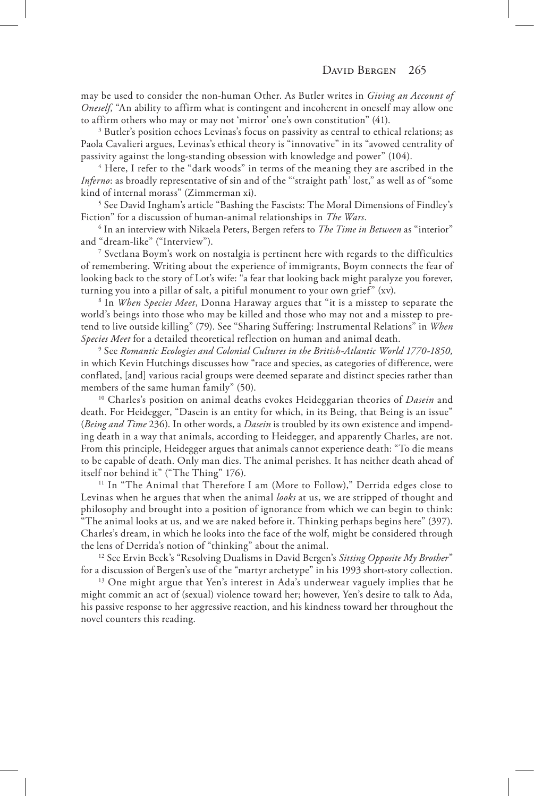may be used to consider the non-human Other. As Butler writes in *Giving an Account of Oneself*, "An ability to affirm what is contingent and incoherent in oneself may allow one to affirm others who may or may not 'mirror' one's own constitution" (41).

<sup>3</sup> Butler's position echoes Levinas's focus on passivity as central to ethical relations; as Paola Cavalieri argues, Levinas's ethical theory is "innovative" in its "avowed centrality of passivity against the long-standing obsession with knowledge and power" (104).

<sup>4</sup> Here, I refer to the "dark woods" in terms of the meaning they are ascribed in the *Inferno*: as broadly representative of sin and of the "'straight path' lost," as well as of "some kind of internal morass" (Zimmerman xi). 5

<sup>5</sup> See David Ingham's article "Bashing the Fascists: The Moral Dimensions of Findley's Fiction" for a discussion of human-animal relationships in *The Wars*.

<sup>6</sup> In an interview with Nikaela Peters, Bergen refers to *The Time in Between* as "interior" and "dream-like" ("Interview").

7 Svetlana Boym's work on nostalgia is pertinent here with regards to the difficulties of remembering. Writing about the experience of immigrants, Boym connects the fear of looking back to the story of Lot's wife: "a fear that looking back might paralyze you forever, turning you into a pillar of salt, a pitiful monument to your own grief" (xv).

<sup>8</sup> In *When Species Meet*, Donna Haraway argues that "it is a misstep to separate the world's beings into those who may be killed and those who may not and a misstep to pretend to live outside killing" (79). See "Sharing Suffering: Instrumental Relations" in *When Species Meet* for a detailed theoretical reflection on human and animal death.

 See *Romantic Ecologies and Colonial Cultures in the British-Atlantic World 1770-1850,*  in which Kevin Hutchings discusses how "race and species, as categories of difference, were conflated, [and] various racial groups were deemed separate and distinct species rather than members of the same human family" (50).

10 Charles's position on animal deaths evokes Heideggarian theories of *Dasein* and death. For Heidegger, "Dasein is an entity for which, in its Being, that Being is an issue" (*Being and Time* 236). In other words, a *Dasein* is troubled by its own existence and impending death in a way that animals, according to Heidegger, and apparently Charles, are not. From this principle, Heidegger argues that animals cannot experience death: "To die means to be capable of death. Only man dies. The animal perishes. It has neither death ahead of itself nor behind it" ("The Thing" 176).

<sup>11</sup> In "The Animal that Therefore I am (More to Follow)," Derrida edges close to Levinas when he argues that when the animal *looks* at us, we are stripped of thought and philosophy and brought into a position of ignorance from which we can begin to think: "The animal looks at us, and we are naked before it. Thinking perhaps begins here" (397). Charles's dream, in which he looks into the face of the wolf, might be considered through the lens of Derrida's notion of "thinking" about the animal. 12 See Ervin Beck's "Resolving Dualisms in David Bergen's *Sitting Opposite My Brother*"

for a discussion of Bergen's use of the "martyr archetype" in his 1993 short-story collection. 13 One might argue that Yen's interest in Ada's underwear vaguely implies that he

might commit an act of (sexual) violence toward her; however, Yen's desire to talk to Ada, his passive response to her aggressive reaction, and his kindness toward her throughout the novel counters this reading.